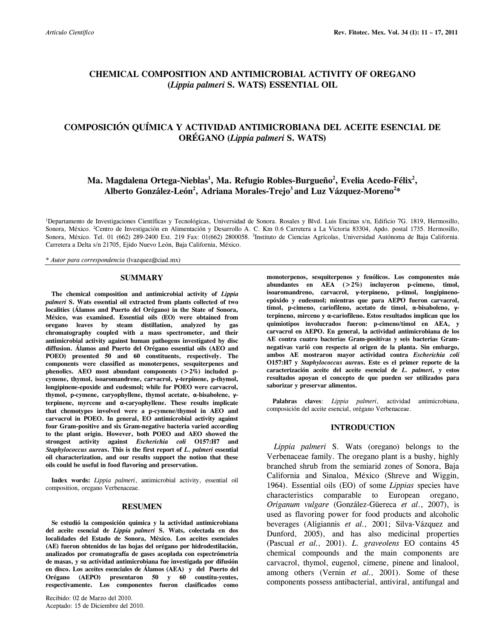# **CHEMICAL COMPOSITION AND ANTIMICROBIAL ACTIVITY OF OREGANO (***Lippia palmeri* **S. WATS) ESSENTIAL OIL**

# **COMPOSICIÓN QUÍMICA Y ACTIVIDAD ANTIMICROBIANA DEL ACEITE ESENCIAL DE ORÉGANO (***Lippia palmeri* **S. WATS)**

# **Ma. Magdalena Ortega-Nieblas<sup>1</sup> , Ma. Refugio Robles-Burgueño<sup>2</sup> , Evelia Acedo-Félix<sup>2</sup> , Alberto González-León 2 , Adriana Morales-Trejo<sup>3</sup> and Luz Vázquez-Moreno<sup>2</sup> \***

<sup>1</sup>Departamento de Investigaciones Científicas y Tecnológicas, Universidad de Sonora. Rosales y Blvd. Luis Encinas s/n, Edificio 7G. 1819, Hermosillo, Sonora, México. <sup>2</sup>Centro de Investigación en Alimentación y Desarrollo A. C. Km 0.6 Carretera a La Victoria 83304, Apdo. postal 1735. Hermosillo, Sonora, México. Tel. 01 (662) 289-2400 Ext. 219 Fax: 01(662) 2800058. <sup>3</sup>Instituto de Ciencias Agrícolas, Universidad Autónoma de Baja California. Carretera a Delta s/n 21705, Ejido Nuevo León, Baja California, México.

\* *Autor para correspondencia* (lvazquez@ciad.mx)

#### **SUMMARY**

 **The chemical composition and antimicrobial activity of** *Lippia palmeri* **S. Wats essential oil extracted from plants collected of two localities (Álamos and Puerto del Orégano) in the State of Sonora, México, was examined. Essential oils (EO) were obtained from oregano leaves by steam distillation, analyzed by gas chromatography coupled with a mass spectrometer, and their antimicrobial activity against human pathogens investigated by disc diffusion. Álamos and Puerto del Orégano essential oils (AEO and POEO) presented 50 and 60 constituents, respectively. The components were classified as monoterpenes, sesquiterpenes and phenolics. AEO most abundant components (>2%) included pcymene, thymol, isoaromandrene, carvacrol, γ-terpinene, p-thymol, longipinene-epoxide and eudesmol; while for POEO were carvacrol, thymol, p-cymene, caryophyllene, thymol acetate, α-bisabolene, γterpinene, myrcene and α-caryophyllene. These results implicate that chemotypes involved were a p-cymene/thymol in AEO and carvacrol in POEO. In general, EO antimicrobial activity against four Gram-positive and six Gram-negative bacteria varied according to the plant origin. However, both POEO and AEO showed the strongest activity against** *Escherichia coli* **O157:H7 and**  *Staphylococcus aureu***s. This is the first report of** *L***.** *palmeri* **essential oil characterization, and our results support the notion that these oils could be useful in food flavoring and preservation.**

 **Index words:** *Lippia palmeri*, antimicrobial activity, essential oil composition, oregano Verbenaceae.

#### **RESUMEN**

 **Se estudió la composición química y la actividad antimicrobiana del aceite esencial de** *Lippia palmeri* **S. Wats, colectada en dos localidades del Estado de Sonora, México. Los aceites esenciales (AE) fueron obtenidos de las hojas del orégano por hidrodestilación, analizados por cromatografía de gases acoplada con espectrómetría de masas, y su actividad antimicrobiana fue investigada por difusión en disco. Los aceites esenciales de Álamos (AEA) y del Puerto del Orégano (AEPO) presentaron 50 y 60 constitu-yentes, respectivamente. Los componentes fueron clasificados como** 

Recibido: 02 de Marzo del 2010. Aceptado: 15 de Diciembre del 2010. **monoterpenos, sesquiterpenos y fenólicos. Los componentes más abundantes en AEA (>2%) incluyeron p-cimeno, timol, isoaromandreno, carvacrol, γ-terpineno, p-timol, longipinenoepóxido y eudesmol; mientras que para AEPO fueron carvacrol, timol, p-cimeno, cariofileno, acetato de timol, α-bisaboleno, γterpineno, mirceno y α-cariofileno. Estos resultados implican que los quimiotipos involucrados fueron: p-cimeno/timol en AEA, y carvacrol en AEPO. En general, la actividad antimicrobiana de los AE contra cuatro bacterias Gram-positivas y seis bacterias Gramnegativas varió con respecto al origen de la planta. Sin embargo, ambos AE mostraron mayor actividad contra** *Escherichia coli* **O157:H7 y** *Staphylococcus aureu***s. Este es el primer reporte de la caracterización aceite del aceite esencial de** *L. palmeri***, y estos resultados apoyan el concepto de que pueden ser utilizados para saborizar y preservar alimentos.**

 **Palabras claves**: *Lippia palmeri*, actividad antimicrobiana, composición del aceite esencial, orégano Verbenaceae.

#### **INTRODUCTION**

 *Lippia palmeri* S. Wats (oregano) belongs to the Verbenaceae family. The oregano plant is a bushy, highly branched shrub from the semiarid zones of Sonora, Baja California and Sinaloa, México (Shreve and Wiggin, 1964). Essential oils (EO) of some *Lippias* species have characteristics comparable to European oregano, *Origanum vulgare* (González-Güereca *et al*., 2007), is used as flavoring power for food products and alcoholic beverages (Aligiannis *et al.,* 2001; Silva-Vázquez and Dunford, 2005), and has also medicinal properties (Pascual *et al.,* 2001). *L. graveolens* EO contains 45 chemical compounds and the main components are carvacrol, thymol, eugenol, cimene, pinene and linalool, among others (Vernin *et al.,* 2001). Some of these components possess antibacterial, antiviral, antifungal and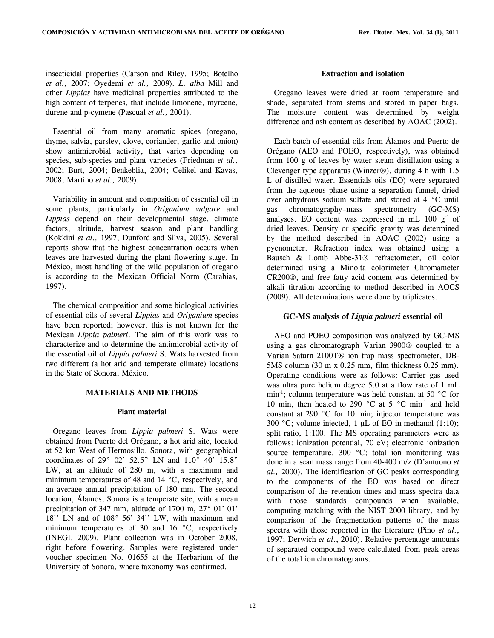insecticidal properties (Carson and Riley, 1995; Botelho *et al.,* 2007; Oyedemi *et al.,* 2009). *L. alba* Mill and other *Lippias* have medicinal properties attributed to the high content of terpenes, that include limonene, myrcene, durene and p-cymene (Pascual *et al.,* 2001).

 Essential oil from many aromatic spices (oregano, thyme, salvia, parsley, clove, coriander, garlic and onion) show antimicrobial activity, that varies depending on species, sub-species and plant varieties (Friedman *et al.,*  2002; Burt, 2004; Benkeblia, 2004; Celikel and Kavas, 2008; Martino *et al.,* 2009).

 Variability in amount and composition of essential oil in some plants, particularly in *Origanium vulgare* and *Lippias* depend on their developmental stage, climate factors, altitude, harvest season and plant handling (Kokkini *et al.,* 1997; Dunford and Silva, 2005). Several reports show that the highest concentration occurs when leaves are harvested during the plant flowering stage. In México, most handling of the wild population of oregano is according to the Mexican Official Norm (Carabias, 1997).

 The chemical composition and some biological activities of essential oils of several *Lippias* and *Origanium* species have been reported; however, this is not known for the Mexican *Lippia palmeri*. The aim of this work was to characterize and to determine the antimicrobial activity of the essential oil of *Lippia palmeri* S. Wats harvested from two different (a hot arid and temperate climate) locations in the State of Sonora, México.

# **MATERIALS AND METHODS**

#### **Plant material**

 Oregano leaves from *Lippia palmeri* S. Wats were obtained from Puerto del Orégano, a hot arid site, located at 52 km West of Hermosillo, Sonora, with geographical coordinates of 29° 02' 52.5" LN and 110° 40' 15.8" LW, at an altitude of 280 m, with a maximum and minimum temperatures of 48 and 14 °C, respectively, and an average annual precipitation of 180 mm. The second location, Álamos, Sonora is a temperate site, with a mean precipitation of 347 mm, altitude of 1700 m, 27° 01' 01' 18'' LN and of 108° 56' 34'' LW, with maximum and minimum temperatures of 30 and 16 °C, respectively (INEGI, 2009). Plant collection was in October 2008, right before flowering. Samples were registered under voucher specimen No. 01655 at the Herbarium of the University of Sonora, where taxonomy was confirmed.

## **Extraction and isolation**

 Oregano leaves were dried at room temperature and shade, separated from stems and stored in paper bags. The moisture content was determined by weight difference and ash content as described by AOAC (2002).

 Each batch of essential oils from Álamos and Puerto de Orégano (AEO and POEO, respectively), was obtained from 100 g of leaves by water steam distillation using a Clevenger type apparatus (Winzer®), during 4 h with  $1.5$ L of distilled water. Essentials oils (EO) were separated from the aqueous phase using a separation funnel, dried over anhydrous sodium sulfate and stored at 4 °C until gas chromatography–mass spectrometry (GC-MS) analyses. EO content was expressed in mL  $100 \text{ g}^{-1}$  of dried leaves. Density or specific gravity was determined by the method described in AOAC (2002) using a pycnometer. Refraction index was obtained using a Bausch & Lomb Abbe-31<sup>®</sup> refractometer, oil color determined using a Minolta colorimeter Chromameter CR200®, and free fatty acid content was determined by alkali titration according to method described in AOCS (2009). All determinations were done by triplicates.

### **GC-MS analysis of** *Lippia palmeri* **essential oil**

 AEO and POEO composition was analyzed by GC-MS using a gas chromatograph Varian 3900® coupled to a Varian Saturn 2100T® ion trap mass spectrometer, DB-5MS column (30 m x 0.25 mm, film thickness 0.25 mm). Operating conditions were as follows: Carrier gas used was ultra pure helium degree 5.0 at a flow rate of 1 mL min<sup>-1</sup>; column temperature was held constant at 50  $^{\circ}$ C for 10 min, then heated to 290 °C at 5 °C min<sup>-1</sup> and held constant at 290 °C for 10 min; injector temperature was 300 °C; volume injected, 1 μL of EO in methanol (1:10); split ratio, 1:100. The MS operating parameters were as follows: ionization potential, 70 eV; electronic ionization source temperature, 300 °C; total ion monitoring was done in a scan mass range from 40-400 m/z (D'antuono *et al.,* 2000). The identification of GC peaks corresponding to the components of the EO was based on direct comparison of the retention times and mass spectra data with those standards compounds when available, computing matching with the NIST 2000 library, and by comparison of the fragmentation patterns of the mass spectra with those reported in the literature (Pino *et al*., 1997; Derwich *et al*., 2010). Relative percentage amounts of separated compound were calculated from peak areas of the total ion chromatograms.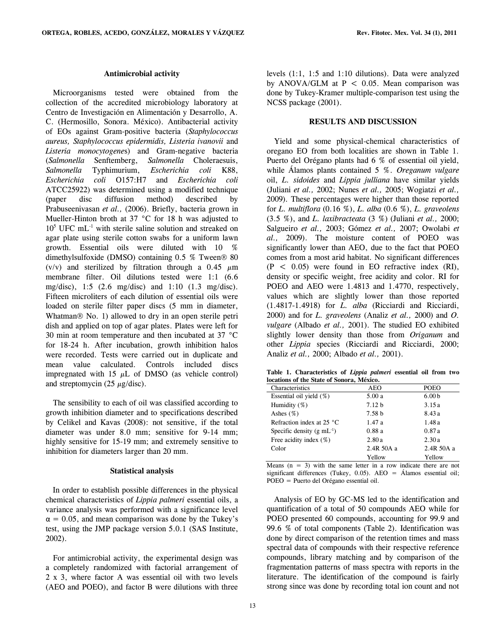#### **Antimicrobial activity**

 Microorganisms tested were obtained from the collection of the accredited microbiology laboratory at Centro de Investigación en Alimentación y Desarrollo, A. C. (Hermosillo, Sonora. México). Antibacterial activity of EOs against Gram-positive bacteria (*Staphylococcus aureus, Staphylococcus epidermidis, Listeria ivanovii* and *Listeria monocytogene*s) and Gram-negative bacteria (*Salmonella* Senftemberg, *Salmonella* Choleraesuis, *Salmonella* Typhimurium, *Escherichia coli* K88, *Escherichia coli* O157:H7 and *Escherichia coli* ATCC25922) was determined using a modified technique (paper disc diffusion method) described by Prabuseenivasan *et al.,* (2006). Briefly, bacteria grown in Mueller-Hinton broth at 37 °C for 18 h was adjusted to  $10<sup>5</sup>$  UFC mL<sup>-1</sup> with sterile saline solution and streaked on agar plate using sterile cotton swabs for a uniform lawn growth. Essential oils were diluted with 10 % dimethylsulfoxide (DMSO) containing  $0.5\%$  Tween  $\otimes$  80 (v/v) and sterilized by filtration through a 0.45  $\mu$ m membrane filter. Oil dilutions tested were 1:1 (6.6 mg/disc), 1:5 (2.6 mg/disc) and 1:10 (1.3 mg/disc). Fifteen microliters of each dilution of essential oils were loaded on sterile filter paper discs (5 mm in diameter, Whatman $\mathcal D$  No. 1) allowed to dry in an open sterile petri dish and applied on top of agar plates. Plates were left for 30 min at room temperature and then incubated at 37 °C for 18-24 h. After incubation, growth inhibition halos were recorded. Tests were carried out in duplicate and mean value calculated. Controls included discs impregnated with 15  $\mu$ L of DMSO (as vehicle control) and streptomycin (25  $\mu$ g/disc).

 The sensibility to each of oil was classified according to growth inhibition diameter and to specifications described by Celikel and Kavas (2008): not sensitive, if the total diameter was under 8.0 mm; sensitive for 9-14 mm; highly sensitive for 15-19 mm; and extremely sensitive to inhibition for diameters larger than 20 mm.

## **Statistical analysis**

 In order to establish possible differences in the physical chemical characteristics of *Lippia palmeri* essential oils, a variance analysis was performed with a significance level  $\alpha = 0.05$ , and mean comparison was done by the Tukey's test, using the JMP package version 5.0.1 (SAS Institute, 2002).

 For antimicrobial activity, the experimental design was a completely randomized with factorial arrangement of 2 x 3, where factor A was essential oil with two levels (AEO and POEO), and factor B were dilutions with three levels (1:1, 1:5 and 1:10 dilutions). Data were analyzed by ANOVA/GLM at  $P < 0.05$ . Mean comparison was done by Tukey-Kramer multiple-comparison test using the NCSS package (2001).

## **RESULTS AND DISCUSSION**

 Yield and some physical-chemical characteristics of oregano EO from both localities are shown in Table 1. Puerto del Orégano plants had 6 % of essential oil yield, while Álamos plants contained 5 %. *Oreganum vulgare*  oil, *L. sidoides* and *Lippia julliana* have similar yields (Juliani *et al.,* 2002; Nunes *et al.,* 2005; Wogiatzi *et al.,*  2009)*.* These percentages were higher than those reported for *L. multiflora* (0.16 %), *L. alba* (0.6 %), *L. graveolens* (3.5 %), and *L. laxibracteata* (3 %) (Juliani *et al.,* 2000; Salgueiro *et al.,* 2003; Gómez *et al.,* 2007; Owolabi *et al.,* 2009). The moisture content of POEO was significantly lower than AEO, due to the fact that POEO comes from a most arid habitat. No significant differences  $(P < 0.05)$  were found in EO refractive index  $(RI)$ , density or specific weight, free acidity and color. RI for POEO and AEO were 1.4813 and 1.4770, respectively, values which are slightly lower than those reported (1.4817-1.4918) for *L. alba* (Ricciardi and Ricciardi, 2000) and for *L. graveolens* (Analiz *et al.,* 2000) and *O. vulgare* (Albado *et al.,* 2001). The studied EO exhibited slightly lower density than those from *Origanum* and other *Lippia* species (Ricciardi and Ricciardi, 2000; Analiz *et al.,* 2000; Albado *et al.,* 2001).

**Table 1. Characteristics of** *Lippia palmeri* **essential oil from two locations of the State of Sonora, México.**

| Characteristics                    | <b>AEO</b>        | POEO              |  |
|------------------------------------|-------------------|-------------------|--|
| Essential oil yield $(\%)$         | 5.00a             | 6.00 <sub>b</sub> |  |
| Humidity $(\%)$                    | 7.12 h            | 3.15a             |  |
| Ashes $(\%)$                       | 7.58 <sub>b</sub> | 8.43 a            |  |
| Refraction index at 25 $\degree$ C | 1.47a             | 1.48 a            |  |
| Specific density (g $mL^{-1}$ )    | 0.88a             | 0.87a             |  |
| Free acidity index $(\%)$          | 2.80a             | 2.30a             |  |
| Color                              | 2.4R 50A a        | $2.4R$ 50A a      |  |
|                                    | Yellow            | Yellow            |  |

Means  $(n = 3)$  with the same letter in a row indicate there are not significant differences (Tukey, 0.05). AEO = Álamos essential oil; POEO = Puerto del Orégano essential oil.

 Analysis of EO by GC-MS led to the identification and quantification of a total of 50 compounds AEO while for POEO presented 60 compounds, accounting for 99.9 and 99.6 % of total components (Table 2). Identification was done by direct comparison of the retention times and mass spectral data of compounds with their respective reference compounds, library matching and by comparison of the fragmentation patterns of mass spectra with reports in the literature. The identification of the compound is fairly strong since was done by recording total ion count and not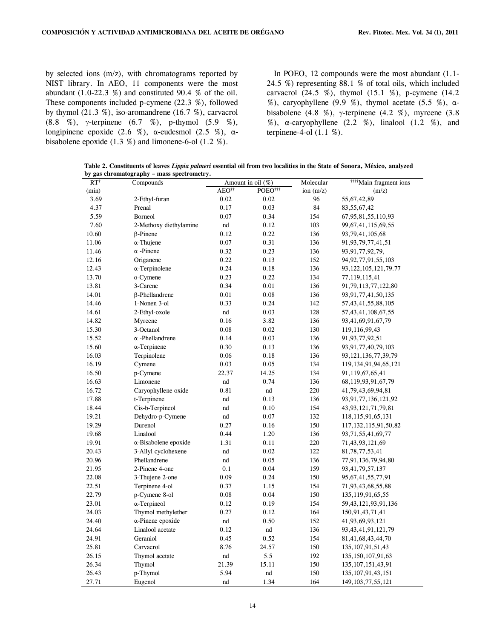by selected ions (m/z), with chromatograms reported by NIST library. In AEO, 11 components were the most abundant  $(1.0-22.3 \%)$  and constituted 90.4 % of the oil. These components included p-cymene (22.3 %), followed by thymol  $(21.3 \%)$ , iso-aromandrene  $(16.7 \%)$ , carvacrol (8.8 %),  $\gamma$ -terpinene (6.7 %), p-thymol (5.9 %), longipinene epoxide (2.6 %), α-eudesmol (2.5 %), αbisabolene epoxide (1.3 %) and limonene-6-ol (1.2 %).

 In POEO, 12 compounds were the most abundant (1.1- 24.5 %) representing 88.1 % of total oils, which included carvacrol  $(24.5 \%)$ , thymol  $(15.1 \%)$ , p-cymene  $(14.2 \%)$ %), caryophyllene (9.9 %), thymol acetate (5.5 %),  $\alpha$ bisabolene (4.8 %),  $\gamma$ -terpinene (4.2 %), myrcene (3.8 %),  $\alpha$ -caryophyllene (2.2 %), linalool (1.2 %), and terpinene-4-ol (1.1 %).

**Table 2. Constituents of leaves** *Lippia palmeri* **essential oil from two localities in the State of Sonora, México, analyzed by gas chromatography – mass spectrometry.** 

| $RT^{\dagger}$ | Compounds                    | Amount in oil (%) |                     | Molecular   | <sup>††††</sup> Main fragment ions |  |
|----------------|------------------------------|-------------------|---------------------|-------------|------------------------------------|--|
| (min)          |                              | AEO <sup>††</sup> | POEO <sup>†††</sup> | ion $(m/z)$ | (m/z)                              |  |
| 3.69           | 2-Ethyl-furan                | 0.02              | 0.02                | 96          | 55, 67, 42, 89                     |  |
| 4.37           | Prenal                       | 0.17              | 0.03                | 84          | 83, 55, 67, 42                     |  |
| 5.59           | <b>Borneol</b>               | 0.07              | 0.34                | 154         | 67, 95, 81, 55, 110, 93            |  |
| 7.60           | 2-Methoxy diethylamine       | nd                | 0.12                | 103         | 99, 67, 41, 115, 69, 55            |  |
| 10.60          | $\beta$ -Pinene              | 0.12              | 0.22                | 136         | 93, 79, 41, 105, 68                |  |
| 11.06          | $\alpha$ -Thujene            | 0.07              | 0.31                | 136         | 91, 93, 79, 77, 41, 51             |  |
| 11.46          | $\alpha$ -Pinene             | 0.32              | 0.23                | 136         | 93, 91, 77, 92, 79,                |  |
| 12.16          | Origanene                    | 0.22              | 0.13                | 152         | 94, 92, 77, 91, 55, 103            |  |
| 12.43          | $\alpha$ -Terpinolene        | 0.24              | 0.18                | 136         | 93, 122, 105, 121, 79. 77          |  |
| 13.70          | o-Cymene                     | 0.23              | 0.22                | 134         | 77,119,115,41                      |  |
| 13.81          | 3-Carene                     | 0.34              | 0.01                | 136         | 91,79,113,77,122,80                |  |
| 14.01          | $\beta$ -Phellandrene        | 0.01              | 0.08                | 136         | 93, 91, 77, 41, 50, 135            |  |
| 14.46          | 1-Nonen 3-ol                 | 0.33              | 0.24                | 142         | 57, 43, 41, 55, 88, 105            |  |
| 14.61          | 2-Ethyl-oxole                | nd                | 0.03                | 128         | 57, 43, 41, 108, 67, 55            |  |
| 14.82          | Myrcene                      | 0.16              | 3.82                | 136         | 93,41,69,91,67,79                  |  |
| 15.30          | 3-Octanol                    | 0.08              | 0.02                | 130         | 119,116,99,43                      |  |
| 15.52          | $\alpha$ -Phellandrene       | 0.14              | 0.03                | 136         | 91, 93, 77, 92, 51                 |  |
| 15.60          | $\alpha$ -Terpinene          | 0.30              | 0.13                | 136         | 93, 91, 77, 40, 79, 103            |  |
| 16.03          | Terpinolene                  | 0.06              | 0.18                | 136         | 93, 121, 136, 77, 39, 79           |  |
| 16.19          | Cymene                       | 0.03              | 0.05                | 134         | 119, 134, 91, 94, 65, 121          |  |
| 16.50          | p-Cymene                     | 22.37             | 14.25               | 134         | 91,119,67,65,41                    |  |
| 16.63          | Limonene                     | nd                | 0.74                | 136         | 68, 119, 93, 91, 67, 79            |  |
| 16.72          | Caryophyllene oxide          | 0.81              | $^{\rm nd}$         | 220         | 41,79,43,69,94,81                  |  |
| 17.88          | t-Terpinene                  | nd                | 0.13                | 136         | 93, 91, 77, 136, 121, 92           |  |
| 18.44          | Cis-b-Terpineol              | nd                | 0.10                | 154         | 43, 93, 121, 71, 79, 81            |  |
| 19.21          | Dehydro-p-Cymene             | nd                | 0.07                | 132         | 118, 115, 91, 65, 131              |  |
| 19.29          | Durenol                      | 0.27              | 0.16                | 150         | 117, 132, 115, 91, 50, 82          |  |
| 19.68          | Linalool                     | 0.44              | 1.20                | 136         | 93, 71, 55, 41, 69, 77             |  |
| 19.91          | $\alpha$ -Bisabolene epoxide | 1.31              | 0.11                | 220         | 71,43,93,121,69                    |  |
| 20.43          | 3-Allyl cyclohexene          | nd                | 0.02                | 122         | 81,78,77,53,41                     |  |
| 20.96          | Phellandrene                 | nd                | 0.05                | 136         | 77,91,136,79,94,80                 |  |
| 21.95          | 2-Pinene 4-one               | 0.1               | 0.04                | 159         | 93, 41, 79, 57, 137                |  |
| 22.08          | 3-Thujene 2-one              | 0.09              | 0.24                | 150         | 95, 67, 41, 55, 77, 91             |  |
| 22.51          | Terpinene 4-ol               | 0.37              | 1.15                | 154         | 71,93,43,68,55,88                  |  |
| 22.79          | p-Cymene 8-ol                | 0.08              | 0.04                | 150         | 135, 119, 91, 65, 55               |  |
| 23.01          | $\alpha$ -Terpineol          | 0.12              | 0.19                | 154         | 59, 43, 121, 93, 91, 136           |  |
| 24.03          | Thymol methylether           | 0.27              | 0.12                | 164         | 150,91,43,71,41                    |  |
| 24.40          | $\alpha$ -Pinene epoxide     | nd                | 0.50                | 152         | 41,93,69,93,121                    |  |
| 24.64          | Linalool acetate             | 0.12              | nd                  | 136         | 93, 43, 41, 91, 121, 79            |  |
| 24.91          | Geraniol                     | 0.45              | 0.52                | 154         | 81, 41, 68, 43, 44, 70             |  |
| 25.81          | Carvacrol                    | 8.76              | 24.57               | 150         | 135, 107, 91, 51, 43               |  |
| 26.15          | Thymol acetate               | nd                | 5.5                 | 192         | 135, 150, 107, 91, 63              |  |
| 26.34          | Thymol                       | 21.39             | 15.11               | 150         | 135, 107, 151, 43, 91              |  |
| 26.43          | p-Thymol                     | 5.94              | nd                  | 150         | 135, 107, 91, 43, 151              |  |
| 27.71          | Eugenol                      | nd                | 1.34                | 164         | 149, 103, 77, 55, 121              |  |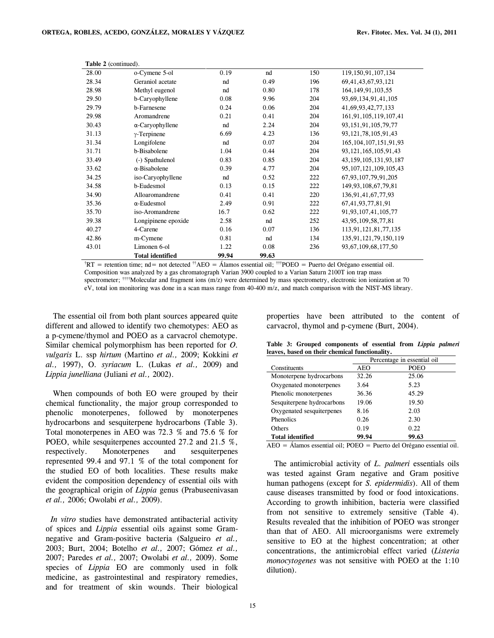| Table 2 (continued). |                         |       |       |     |                            |  |
|----------------------|-------------------------|-------|-------|-----|----------------------------|--|
| 28.00                | o-Cymene 5-ol           | 0.19  | nd    | 150 | 119, 150, 91, 107, 134     |  |
| 28.34                | Geraniol acetate        | nd    | 0.49  | 196 | 69, 41, 43, 67, 93, 121    |  |
| 28.98                | Methyl eugenol          | nd    | 0.80  | 178 | 164, 149, 91, 103, 55      |  |
| 29.50                | b-Caryophyllene         | 0.08  | 9.96  | 204 | 93, 69, 134, 91, 41, 105   |  |
| 29.79                | b-Farnesene             | 0.24  | 0.06  | 204 | 41,69,93,42,77,133         |  |
| 29.98                | Aromandrene             | 0.21  | 0.41  | 204 | 161, 91, 105, 119, 107, 41 |  |
| 30.43                | $\alpha$ -Caryophyllene | nd    | 2.24  | 204 | 93, 151, 91, 105, 79, 77   |  |
| 31.13                | $\gamma$ -Terpinene     | 6.69  | 4.23  | 136 | 93, 121, 78, 105, 91, 43   |  |
| 31.34                | Longifolene             | nd    | 0.07  | 204 | 165, 104, 107, 151, 91, 93 |  |
| 31.71                | b-Bisabolene            | 1.04  | 0.44  | 204 | 93, 121, 165, 105, 91, 43  |  |
| 33.49                | (-) Spathulenol         | 0.83  | 0.85  | 204 | 43, 159, 105, 131, 93, 187 |  |
| 33.62                | $\alpha$ -Bisabolene    | 0.39  | 4.77  | 204 | 95, 107, 121, 109, 105, 43 |  |
| 34.25                | iso-Caryophyllene       | nd    | 0.52  | 222 | 67, 93, 107, 79, 91, 205   |  |
| 34.58                | b-Eudesmol              | 0.13  | 0.15  | 222 | 149, 93, 108, 67, 79, 81   |  |
| 34.90                | Alloaromandrene         | 0.41  | 0.41  | 220 | 136, 91, 41, 67, 77, 93    |  |
| 35.36                | $\alpha$ -Eudesmol      | 2.49  | 0.91  | 222 | 67, 41, 93, 77, 81, 91     |  |
| 35.70                | iso-Aromandrene         | 16.7  | 0.62  | 222 | 91, 93, 107, 41, 105, 77   |  |
| 39.38                | Longipinene epoxide     | 2.58  | nd    | 252 | 43, 95, 109, 58, 77, 81    |  |
| 40.27                | 4-Carene                | 0.16  | 0.07  | 136 | 113,91,121,81,77,135       |  |
| 42.86                | m-Cymene                | 0.81  | nd    | 134 | 135, 91, 121, 79, 150, 119 |  |
| 43.01                | Limonen 6-ol            | 1.22  | 0.08  | 236 | 93, 67, 109, 68, 177, 50   |  |
|                      | <b>Total identified</b> | 99.94 | 99.63 |     |                            |  |

<sup>†</sup>RT = retention time; nd = not detected <sup>††</sup>AEO = Álamos essential oil; <sup>†††</sup>POEO = Puerto del Orégano essential oil. Composition was analyzed by a gas chromatograph Varian 3900 coupled to a Varian Saturn 2100T ion trap mass spectrometer; ††††Molecular and fragment ions (m/z) were determined by mass spectrometry, electronic ion ionization at 70 eV, total ion monitoring was done in a scan mass range from 40-400 m/z, and match comparison with the NIST-MS library.

 The essential oil from both plant sources appeared quite different and allowed to identify two chemotypes: AEO as a p-cymene/thymol and POEO as a carvacrol chemotype*.*  Similar chemical polymorphism has been reported for *O. vulgaris* L. ssp *hirtum* (Martino *et al.,* 2009; Kokkini *et al.,* 1997), O*. syriacum* L. (Lukas *et al.,* 2009) and *Lippia junelliana* (Juliani *et al.,* 2002).

 When compounds of both EO were grouped by their chemical functionality, the major group corresponded to phenolic monoterpenes, followed by monoterpenes hydrocarbons and sesquiterpene hydrocarbons (Table 3). Total monoterpenes in AEO was 72.3 % and 75.6 % for POEO, while sesquiterpenes accounted 27.2 and 21.5 %, respectively. Monoterpenes and sesquiterpenes represented 99.4 and 97.1 % of the total component for the studied EO of both localities. These results make evident the composition dependency of essential oils with the geographical origin of *Lippia* genus (Prabuseenivasan *et al.,* 2006; Owolabi *et al.,* 2009).

 *In vitro* studies have demonstrated antibacterial activity of spices and *Lippia* essential oils against some Gramnegative and Gram-positive bacteria (Salgueiro *et al.,*  2003; Burt, 2004; Botelho *et al.,* 2007; Gómez *et al.,*  2007; Paredes *et al.,* 2007; Owolabi *et al.,* 2009). Some species of *Lippia* EO are commonly used in folk medicine, as gastrointestinal and respiratory remedies, and for treatment of skin wounds. Their biological

properties have been attributed to the content of carvacrol, thymol and p-cymene (Burt, 2004).

|                            | Percentage in essential oil |             |  |
|----------------------------|-----------------------------|-------------|--|
| Constituents               | AEO                         | <b>POEO</b> |  |
| Monoterpene hydrocarbons   | 32.26                       | 25.06       |  |
| Oxygenated monoterpenes    | 3.64                        | 5.23        |  |
| Phenolic monoterpenes      | 36.36                       | 45.29       |  |
| Sesquiterpene hydrocarbons | 19.06                       | 19.50       |  |
| Oxygenated sesquiterpenes  | 8.16                        | 2.03        |  |
| <b>Phenolics</b>           | 0.26                        | 2.30        |  |
| Others                     | 0.19                        | 0.22        |  |
| <b>Total identified</b>    | 99.94                       | 99.63       |  |

**Table 3: Grouped components of essential from** *Lippia palmeri* **leaves, based on their chemical functionality.**

AEO = Álamos essential oil; POEO = Puerto del Orégano essential oil.

 The antimicrobial activity of *L. palmeri* essentials oils was tested against Gram negative and Gram positive human pathogens (except for *S. epidermidis*). All of them cause diseases transmitted by food or food intoxications. According to growth inhibition, bacteria were classified from not sensitive to extremely sensitive (Table 4). Results revealed that the inhibition of POEO was stronger than that of AEO. All microorganisms were extremely sensitive to EO at the highest concentration; at other concentrations, the antimicrobial effect varied (*Listeria monocytogenes* was not sensitive with POEO at the 1:10 dilution).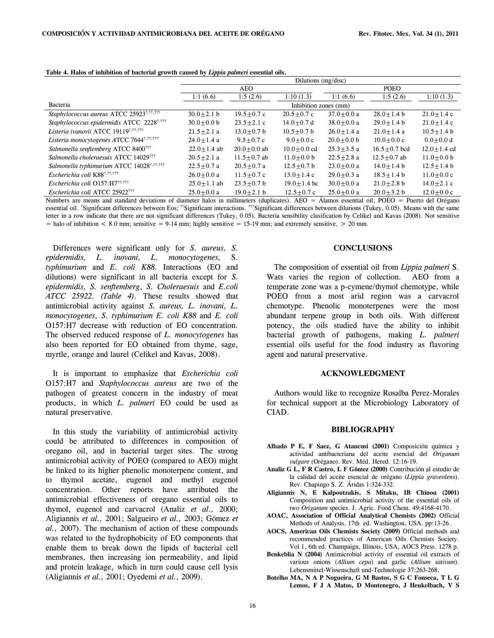|                                                       | Dilutions (mg/disc)   |                 |                 |                |                  |                 |  |
|-------------------------------------------------------|-----------------------|-----------------|-----------------|----------------|------------------|-----------------|--|
|                                                       | <b>AEO</b>            |                 |                 | <b>POEO</b>    |                  |                 |  |
|                                                       | 1:1(6.6)              | 1:5(2.6)        | 1:10(1.3)       | 1:1(6.6)       | 1:5(2.6)         | 1:10(1.3)       |  |
| Bacteria                                              | Inhibition zones (mm) |                 |                 |                |                  |                 |  |
| Staphylococcus aureus ATCC 25923 <sup>t,tt,ttt</sup>  | $30.0 + 2.1 b$        | $19.5 + 0.7$ c  | $20.5 + 0.7$ c  | $37.0 + 0.0 a$ | $28.0 + 1.4 b$   | $21.0 + 1.4c$   |  |
| Staphylococcus epidermidis ATCC 2228 <sup>t,ttt</sup> | $30.0 + 0.0$ b        | $23.5 + 2.1$ c  | $14.0 + 0.7$ d  | $38.0 + 0.0 a$ | $29.0 + 1.4 b$   | $21.0 + 1.4c$   |  |
| Listeria ivanovii ATCC 19119 <sup>†,††,†††</sup>      | $21.5 + 2.1$ a        | $13.0 + 0.7$ b  | $10.5 + 0.7$ b  | $26.0 + 1.4$ a | $21.0 + 1.4$ a   | $10.5 + 1.4 b$  |  |
| Listeria monocytogenes ATCC 7644 <sup>t,tt,ttt</sup>  | $24.0 + 1.4$ a        | $9.5 + 0.7$ c   | $9.0 + 0.0$ c   | $20.0 + 0.0$ b | $10.0 + 0.0$ c   | $0.0 + 0.0 d$   |  |
| Salmonella senftemberg ATCC 8400 <sup>†††</sup>       | $22.0 + 1.4$ ab       | $20.0 + 0.0$ ab | $10.0 + 0.0$ cd | $25.3 + 3.5$ a | $16.5 + 0.7$ bcd | $12.0 + 1.4$ cd |  |
| Salmonella choleraesuis ATCC 14029 <sup>†††</sup>     | $20.5 + 2.1$ a        | $11.5 + 0.7$ ab | $11.0 + 0.0$ b  | $22.5 + 2.8$ a | $12.5 + 0.7$ ab  | $11.0 + 0.0$ b  |  |
| Salmonella typhimurium ATCC 14028 <sup>†,††,†††</sup> | $22.5 + 0.7$ a        | $20.5 + 0.7$ a  | $12.5 + 0.7$ b  | $23.0 + 0.0 a$ | $14.0 + 1.4 b$   | $12.5 + 1.4 b$  |  |
| Escherichia coli K88 <sup>†,††,†††</sup>              | $26.0 + 0.0 a$        | $11.5 + 0.7c$   | $13.0 + 1.4c$   | $29.0 + 0.3$ a | $18.5 + 1.4 b$   | $11.0 + 0.0c$   |  |
| Escherichia coli O157: H7 <sup>11,111</sup>           | $25.0 + 1.1$ ab       | $23.5 + 0.7$ b  | $19.0 + 1.4$ bc | $30.0 + 0.0 a$ | $21.0 + 2.8$ b   | $14.0 + 2.1$ c  |  |
| Escherichia coli ATCC 25922 <sup>†††</sup>            | $25.0 + 0.0 a$        | $19.0 + 2.1$ b  | $12.5 + 0.7c$   | $25.0 + 0.0 a$ | $20.0 + 3.2 b$   | $12.0 + 0.0$ c  |  |

**Table 4. Halos of inhibition of bacterial growth caused by** *Lippia palmeri* **essential oils.**

Numbers are means and standard deviations of diameter halos in millimeters (duplicates). AEO = Álamos essential oil; POEO = Puerto del Orégano essential oil. †Significant differences between Eos; ††Significant interactions. †††Significant differences between dilutions (Tukey, 0.05). Means with the same letter in a row indicate that there are not significant differences (Tukey, 0.05). Bacteria sensibility clasification by Celikel and Kavas (2008). Not sensitive  $=$  halo of inhibition  $< 8.0$  mm; sensitive  $= 9-14$  mm; highly sensitive  $= 15-19$  mm; and extremely sensitive,  $> 20$  mm.

 Differences were significant only for *S. aureus, S. epidermidis, L. inovani, L. monocytogenes,* S. *typhimurium* and *E. coli K88*. Interactions (EO and dilutions) were significant in all bacteria except for *S. epidermidis, S. senftemberg*, *S. Choleraesuis* and *E.coli ATCC 25922. (Table 4)*. These results showed that antimicrobial activity against *S. aureus, L. inovani, L. monocytogenes, S. typhimurium E. coli K88* and *E. coli* O157:H7 decrease with reduction of EO concentration. The observed reduced response of *L. monocytogenes* has also been reported for EO obtained from thyme, sage, myrtle, orange and laurel (Celikel and Kavas, 2008).

 It is important to emphasize that *Escherichia coli* O157:H7 and *Staphylococcus aureus* are two of the pathogen of greatest concern in the industry of meat products, in which *L. palmeri* EO could be used as natural preservative.

 In this study the variability of antimicrobial activity could be attributed to differences in composition of oregano oil, and in bacterial target sites. The strong antimicrobial activity of POEO (compared to AEO) might be linked to its higher phenolic monoterpene content, and to thymol acetate, eugenol and methyl eugenol concentration. Other reports have attributed the antimicrobial effectiveness of oregano essential oils to thymol, eugenol and carvacrol (Analiz *et al.,* 2000; Aligiannis *et al.,* 2001; Salgueiro *et al.,* 2003; Gómez *et al.,* 2007). The mechanism of action of these compounds was related to the hydrophobicity of EO components that enable them to break down the lipids of bacterial cell membranes, then increasing ion permeability, and lipid and protein leakage, which in turn could cause cell lysis (Aligiannis *et al.,* 2001; Oyedemi *et al.,* 2009).

## **CONCLUSIONS**

 The composition of essential oil from *Lippia palmeri* S. Wats varies the region of collection. AEO from a temperate zone was a p-cymene/thymol chemotype, while POEO from a most arid region was a carvacrol chemotype. Phenolic monoterpenes were the most abundant terpene group in both oils. With different potency, the oils studied have the ability to inhibit bacterial growth of pathogens, making *L. palmeri* essential oils useful for the food industry as flavoring agent and natural preservative.

### **ACKNOWLEDGMENT**

 Authors would like to recognize Rosalba Perez-Morales for technical support at the Microbiology Laboratory of CIAD.

## **BIBLIOGRAPHY**

- **Albado P E, F Saez, G Ataucusi (2001)** Composición química y actividad antibacteriana del aceite esencial del *Origanum vulgare* (Orégano). Rev. Méd. Hered. 12:16-19.
- **Analiz G L, F R Castro, L F Gómez (2000)** Contribución al estudio de la calidad del aceite esencial de orégano (*Lippia graveolens*). Rev. Chapingo S. Z. Áridas 1:324-332.
- **Aligiannis N, E Kalpoutzakis, S Mitaku, IB Chinou (2001)** Composition and antimicrobial activity of the essential oils of two *Origanum* species. J. Agric. Food Chem. 49:4168-4170.
- **AOAC, Association of Official Analytical Chemists (2002)** Official Methods of Analysis. 17th ed. Washington, USA. pp:13-26.
- **AOCS, American Oils Chemists Society (2009)** Official methods and recommended practices of American Oils Chemists Society. Vol 1, 6th ed. Champaign, Illinois, USA, AOCS Press. 1278 p.
- **Benkeblia N (2004)** Antimicrobial activity of essential oil extracts of various onions (*Allium cepa*) and garlic (*Allium sativum*). Lebensmittel-Wissenschaft und-Technologie 37:263-268.
- **Botelho MA, N A P Nogueira, G M Bastos, S G C Fonseca, T L G Lemos, F J A Matos, D Montenegro, J Heukelbach, V S**